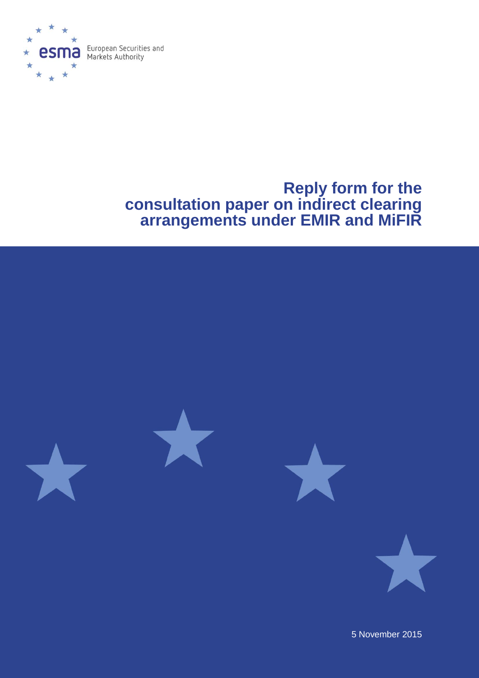

# **Reply form for the consultation paper on indirect clearing arrangements under EMIR and MiFIR**



5 November 2015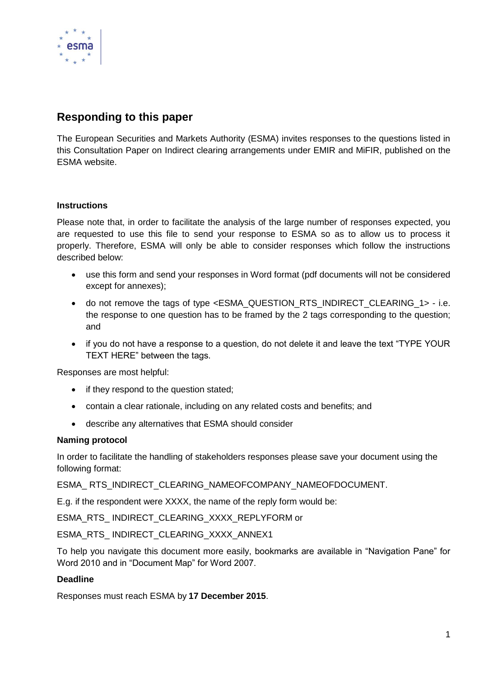

# **Responding to this paper**

The European Securities and Markets Authority (ESMA) invites responses to the questions listed in this Consultation Paper on Indirect clearing arrangements under EMIR and MiFIR, published on the ESMA website.

### **Instructions**

Please note that, in order to facilitate the analysis of the large number of responses expected, you are requested to use this file to send your response to ESMA so as to allow us to process it properly. Therefore, ESMA will only be able to consider responses which follow the instructions described below:

- use this form and send your responses in Word format (pdf documents will not be considered except for annexes);
- do not remove the tags of type <ESMA\_QUESTION\_RTS\_INDIRECT\_CLEARING\_1> i.e. the response to one question has to be framed by the 2 tags corresponding to the question; and
- if you do not have a response to a question, do not delete it and leave the text "TYPE YOUR TEXT HERE" between the tags.

Responses are most helpful:

- if they respond to the question stated;
- contain a clear rationale, including on any related costs and benefits; and
- describe any alternatives that ESMA should consider

#### **Naming protocol**

In order to facilitate the handling of stakeholders responses please save your document using the following format:

ESMA\_ RTS\_INDIRECT\_CLEARING\_NAMEOFCOMPANY\_NAMEOFDOCUMENT.

E.g. if the respondent were XXXX, the name of the reply form would be:

ESMA\_RTS\_ INDIRECT\_CLEARING\_XXXX\_REPLYFORM or

ESMA\_RTS\_ INDIRECT\_CLEARING\_XXXX\_ANNEX1

To help you navigate this document more easily, bookmarks are available in "Navigation Pane" for Word 2010 and in "Document Map" for Word 2007.

#### **Deadline**

Responses must reach ESMA by **17 December 2015**.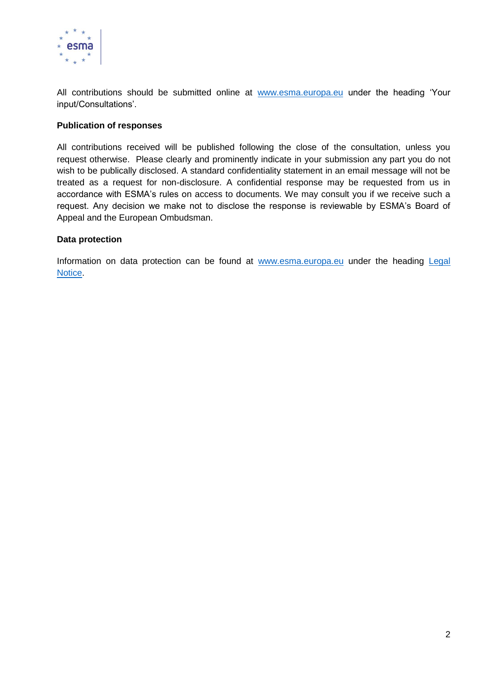

All contributions should be submitted online at [www.esma.europa.eu](http://www.esma.europa.eu/) under the heading 'Your input/Consultations'.

#### **Publication of responses**

All contributions received will be published following the close of the consultation, unless you request otherwise. Please clearly and prominently indicate in your submission any part you do not wish to be publically disclosed. A standard confidentiality statement in an email message will not be treated as a request for non-disclosure. A confidential response may be requested from us in accordance with ESMA's rules on access to documents. We may consult you if we receive such a request. Any decision we make not to disclose the response is reviewable by ESMA's Board of Appeal and the European Ombudsman.

#### **Data protection**

Information on data protection can be found at [www.esma.europa.eu](http://www.esma.europa.eu/) under the heading Legal [Notice.](http://www.esma.europa.eu/legal-notice)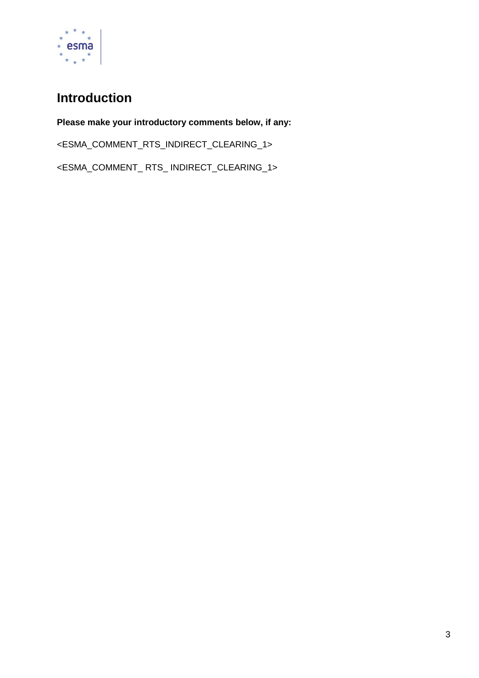

# **Introduction**

**Please make your introductory comments below, if any:** <ESMA\_COMMENT\_RTS\_INDIRECT\_CLEARING\_1> <ESMA\_COMMENT\_ RTS\_ INDIRECT\_CLEARING\_1>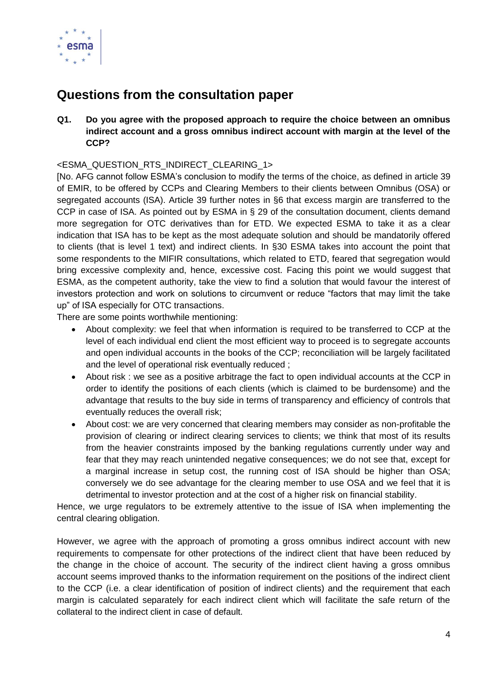

# **Questions from the consultation paper**

**Q1. Do you agree with the proposed approach to require the choice between an omnibus indirect account and a gross omnibus indirect account with margin at the level of the CCP?**

# <ESMA\_QUESTION\_RTS\_INDIRECT\_CLEARING\_1>

[No. AFG cannot follow ESMA's conclusion to modify the terms of the choice, as defined in article 39 of EMIR, to be offered by CCPs and Clearing Members to their clients between Omnibus (OSA) or segregated accounts (ISA). Article 39 further notes in §6 that excess margin are transferred to the CCP in case of ISA. As pointed out by ESMA in § 29 of the consultation document, clients demand more segregation for OTC derivatives than for ETD. We expected ESMA to take it as a clear indication that ISA has to be kept as the most adequate solution and should be mandatorily offered to clients (that is level 1 text) and indirect clients. In §30 ESMA takes into account the point that some respondents to the MIFIR consultations, which related to ETD, feared that segregation would bring excessive complexity and, hence, excessive cost. Facing this point we would suggest that ESMA, as the competent authority, take the view to find a solution that would favour the interest of investors protection and work on solutions to circumvent or reduce "factors that may limit the take up" of ISA especially for OTC transactions.

There are some points worthwhile mentioning:

- About complexity: we feel that when information is required to be transferred to CCP at the level of each individual end client the most efficient way to proceed is to segregate accounts and open individual accounts in the books of the CCP; reconciliation will be largely facilitated and the level of operational risk eventually reduced ;
- About risk : we see as a positive arbitrage the fact to open individual accounts at the CCP in order to identify the positions of each clients (which is claimed to be burdensome) and the advantage that results to the buy side in terms of transparency and efficiency of controls that eventually reduces the overall risk;
- About cost: we are very concerned that clearing members may consider as non-profitable the provision of clearing or indirect clearing services to clients; we think that most of its results from the heavier constraints imposed by the banking regulations currently under way and fear that they may reach unintended negative consequences; we do not see that, except for a marginal increase in setup cost, the running cost of ISA should be higher than OSA; conversely we do see advantage for the clearing member to use OSA and we feel that it is detrimental to investor protection and at the cost of a higher risk on financial stability.

Hence, we urge regulators to be extremely attentive to the issue of ISA when implementing the central clearing obligation.

However, we agree with the approach of promoting a gross omnibus indirect account with new requirements to compensate for other protections of the indirect client that have been reduced by the change in the choice of account. The security of the indirect client having a gross omnibus account seems improved thanks to the information requirement on the positions of the indirect client to the CCP (i.e. a clear identification of position of indirect clients) and the requirement that each margin is calculated separately for each indirect client which will facilitate the safe return of the collateral to the indirect client in case of default.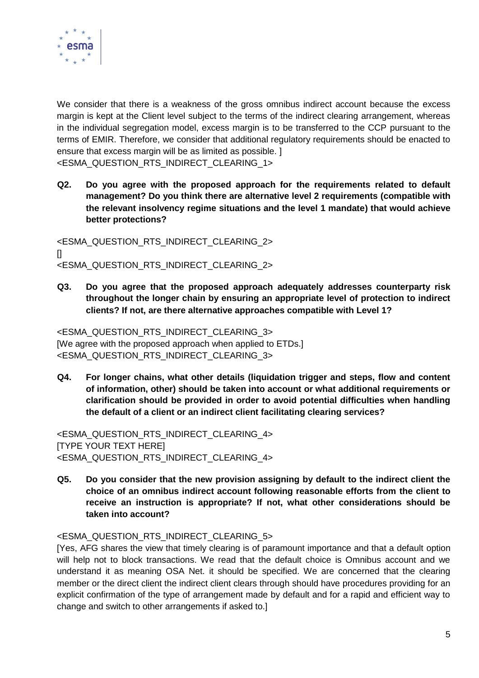

We consider that there is a weakness of the gross omnibus indirect account because the excess margin is kept at the Client level subject to the terms of the indirect clearing arrangement, whereas in the individual segregation model, excess margin is to be transferred to the CCP pursuant to the terms of EMIR. Therefore, we consider that additional regulatory requirements should be enacted to ensure that excess margin will be as limited as possible. ] <ESMA\_QUESTION\_RTS\_INDIRECT\_CLEARING\_1>

**Q2. Do you agree with the proposed approach for the requirements related to default management? Do you think there are alternative level 2 requirements (compatible with the relevant insolvency regime situations and the level 1 mandate) that would achieve better protections?**

<ESMA\_QUESTION\_RTS\_INDIRECT\_CLEARING\_2>  $\Box$ <ESMA\_QUESTION\_RTS\_INDIRECT\_CLEARING\_2>

**Q3. Do you agree that the proposed approach adequately addresses counterparty risk throughout the longer chain by ensuring an appropriate level of protection to indirect clients? If not, are there alternative approaches compatible with Level 1?**

<ESMA\_QUESTION\_RTS\_INDIRECT\_CLEARING\_3> [We agree with the proposed approach when applied to ETDs.] <ESMA\_QUESTION\_RTS\_INDIRECT\_CLEARING\_3>

**Q4. For longer chains, what other details (liquidation trigger and steps, flow and content of information, other) should be taken into account or what additional requirements or clarification should be provided in order to avoid potential difficulties when handling the default of a client or an indirect client facilitating clearing services?**

<ESMA\_QUESTION\_RTS\_INDIRECT\_CLEARING\_4> [TYPE YOUR TEXT HERE] <ESMA\_QUESTION\_RTS\_INDIRECT\_CLEARING\_4>

**Q5. Do you consider that the new provision assigning by default to the indirect client the choice of an omnibus indirect account following reasonable efforts from the client to receive an instruction is appropriate? If not, what other considerations should be taken into account?**

# <ESMA\_QUESTION\_RTS\_INDIRECT\_CLEARING\_5>

[Yes, AFG shares the view that timely clearing is of paramount importance and that a default option will help not to block transactions. We read that the default choice is Omnibus account and we understand it as meaning OSA Net. it should be specified. We are concerned that the clearing member or the direct client the indirect client clears through should have procedures providing for an explicit confirmation of the type of arrangement made by default and for a rapid and efficient way to change and switch to other arrangements if asked to.]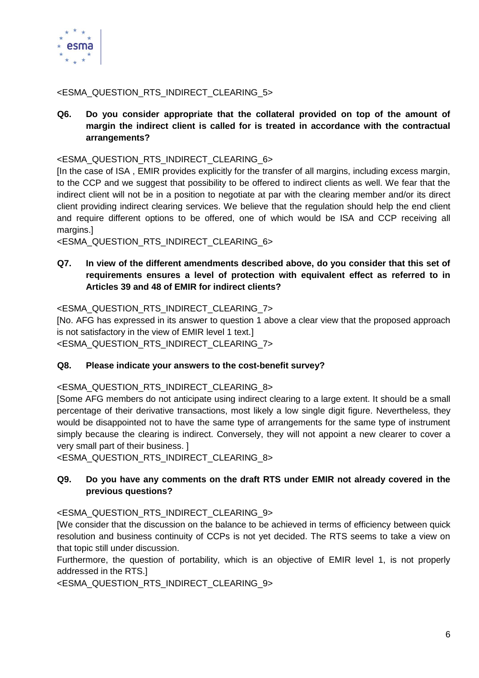

# <ESMA\_QUESTION\_RTS\_INDIRECT\_CLEARING\_5>

**Q6. Do you consider appropriate that the collateral provided on top of the amount of margin the indirect client is called for is treated in accordance with the contractual arrangements?**

<ESMA\_QUESTION\_RTS\_INDIRECT\_CLEARING\_6>

[In the case of ISA , EMIR provides explicitly for the transfer of all margins, including excess margin, to the CCP and we suggest that possibility to be offered to indirect clients as well. We fear that the indirect client will not be in a position to negotiate at par with the clearing member and/or its direct client providing indirect clearing services. We believe that the regulation should help the end client and require different options to be offered, one of which would be ISA and CCP receiving all margins.]

<ESMA\_QUESTION\_RTS\_INDIRECT\_CLEARING\_6>

# **Q7. In view of the different amendments described above, do you consider that this set of requirements ensures a level of protection with equivalent effect as referred to in Articles 39 and 48 of EMIR for indirect clients?**

### <ESMA\_QUESTION\_RTS\_INDIRECT\_CLEARING\_7>

[No. AFG has expressed in its answer to question 1 above a clear view that the proposed approach is not satisfactory in the view of EMIR level 1 text.] <ESMA\_QUESTION\_RTS\_INDIRECT\_CLEARING\_7>

#### **Q8. Please indicate your answers to the cost-benefit survey?**

<ESMA\_QUESTION\_RTS\_INDIRECT\_CLEARING\_8>

[Some AFG members do not anticipate using indirect clearing to a large extent. It should be a small percentage of their derivative transactions, most likely a low single digit figure. Nevertheless, they would be disappointed not to have the same type of arrangements for the same type of instrument simply because the clearing is indirect. Conversely, they will not appoint a new clearer to cover a very small part of their business. ]

<ESMA\_QUESTION\_RTS\_INDIRECT\_CLEARING\_8>

### **Q9. Do you have any comments on the draft RTS under EMIR not already covered in the previous questions?**

<ESMA\_QUESTION\_RTS\_INDIRECT\_CLEARING\_9>

[We consider that the discussion on the balance to be achieved in terms of efficiency between quick resolution and business continuity of CCPs is not yet decided. The RTS seems to take a view on that topic still under discussion.

Furthermore, the question of portability, which is an objective of EMIR level 1, is not properly addressed in the RTS.]

<ESMA\_QUESTION\_RTS\_INDIRECT\_CLEARING\_9>